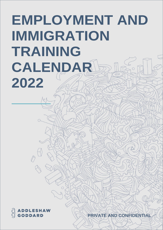## **EMPLOYMENT AND IMMIGRATION TRAINING CALENDAR 2022**

PRIVATE AND CONFIDENTIA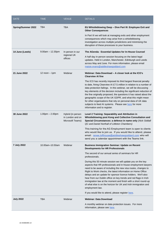| <b>DATE</b>               | <b>TIME</b>        | <b>VENUE</b>                                              | <b>DETAILS</b>                                                                                                                                                                                                                                                                                                                                                                                                                                                                                                                                                                    |
|---------------------------|--------------------|-----------------------------------------------------------|-----------------------------------------------------------------------------------------------------------------------------------------------------------------------------------------------------------------------------------------------------------------------------------------------------------------------------------------------------------------------------------------------------------------------------------------------------------------------------------------------------------------------------------------------------------------------------------|
| <b>Spring/Summer 2022</b> | <b>TBA</b>         | <b>TBA</b>                                                | EU Whistleblowing Deep - Dive Part III: Employee Exit and<br><b>Other Consequences</b>                                                                                                                                                                                                                                                                                                                                                                                                                                                                                            |
|                           |                    |                                                           | In Part III we will look at managing exits and other employment<br>consequences which may arise from a whistleblowing<br>investigation across multiple jurisdictions and minimising the<br>disruption of these processes to your business.                                                                                                                                                                                                                                                                                                                                        |
| 14 June (Leeds)           | $9.00am - 12.30pm$ | In person in our<br>regional UK<br>offices                | The AGenda: Essential Updates for In-House Counsel                                                                                                                                                                                                                                                                                                                                                                                                                                                                                                                                |
|                           |                    |                                                           | A half day in-person session focusing on the latest legal<br>updates. Held in London, Manchester, Edinburgh and Leeds<br>across May and June. For more information, please email<br>maisie.evans@addleshawgoddard.com                                                                                                                                                                                                                                                                                                                                                             |
| 21 June 2022              | $12$ noon $-1$ pm  | Webinar                                                   | Webinar: Data Download - A closer look at the ICO's<br><b>Clearview Al fine</b>                                                                                                                                                                                                                                                                                                                                                                                                                                                                                                   |
|                           |                    |                                                           | The ICO has recently imposed its third largest financial penalty<br>to date, fining Clearview AI £7.5 million in relation to a number of<br>data protection failings. In this webinar, we will be discussing<br>key elements of the decision including the significant reduction of<br>the fine originally proposed, the questions it has raised about the<br>geographic scope of the UK GDPR, and what this might mean<br>for other organisations that rely on personal data of UK data<br>subjects to feed AI systems. Please see here for more<br>information and to register. |
| 30 June 2022              | $1.00pm - 2.00pm$  | Hybrid (in person<br>in London and on<br>Microsoft Teams) | Level 2 Training: Separability and Attribution in<br>Whistleblowing post Kong and Collective Consultation and<br>Special Circumstances: a defence in name only (Nick Siddall<br>QC and Daniel Northall of Littleton Chambers)                                                                                                                                                                                                                                                                                                                                                     |
|                           |                    |                                                           | This training for the AG Employment team is open to clients<br>who would like to join us. If you would like to attend, please<br>email: renee.lofthouse@addleshawgoddard.com who will<br>send you a calendar appointment with the Teams link.                                                                                                                                                                                                                                                                                                                                     |
| 7 July 2022               | 10.00am-10.50am    | Webinar                                                   | <b>Business Immigration Seminar: Update on Recent</b><br><b>Developments for HR Professionals</b>                                                                                                                                                                                                                                                                                                                                                                                                                                                                                 |
|                           |                    |                                                           | The second of our annual series of seminars for HR<br>professionals.                                                                                                                                                                                                                                                                                                                                                                                                                                                                                                              |
|                           |                    |                                                           | During this 50 minute session we will update you on the key<br>aspects that HR professionals and in-house employment lawyers<br>need to be aware of including the new visa routes, changes to<br>Right to Work checks, the latest information on Home Office<br>delays and an update for sponsor licence holders. We'll also<br>hear from our Dublin office on key trends and red flags in Irish<br>immigration law at the moment and finish with a short round-up<br>of what else is on the horizon for UK and Irish immigration and<br>employment law.                          |
|                           |                    |                                                           | If you would like to attend, please register here.                                                                                                                                                                                                                                                                                                                                                                                                                                                                                                                                |
| <b>July 2022</b>          | TBA                | Webinar                                                   | <b>Webinar: Data Download</b><br>A monthly webinar on data protection issues. For more                                                                                                                                                                                                                                                                                                                                                                                                                                                                                            |
|                           |                    |                                                           | information, please see here.                                                                                                                                                                                                                                                                                                                                                                                                                                                                                                                                                     |